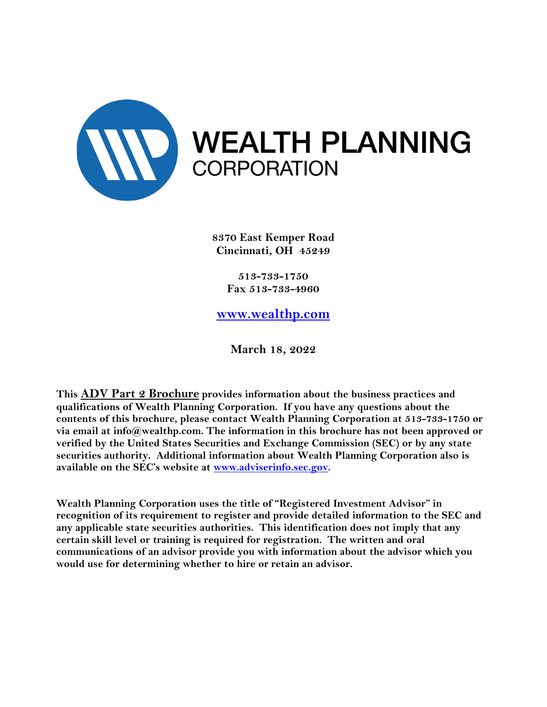

**8370 East Kemper Road Cincinnati, OH 45249**

> **513-733-1750 Fax 513-733-4960**

**[www.wealthp.com](http://www.wealthp.com/)**

**March 18, 2022**

**This ADV Part 2 Brochure provides information about the business practices and qualifications of Wealth Planning Corporation. If you have any questions about the contents of this brochure, please contact Wealth Planning Corporation at 513-733-1750 or via email at info@wealthp.com. The information in this brochure has not been approved or verified by the United States Securities and Exchange Commission (SEC) or by any state securities authority. Additional information about Wealth Planning Corporation also is available on the SEC's website at [www.adviserinfo.sec.gov.](http://www.adviserinfo.sec.gov/)**

**Wealth Planning Corporation uses the title of "Registered Investment Advisor" in recognition of its requirement to register and provide detailed information to the SEC and any applicable state securities authorities. This identification does not imply that any certain skill level or training is required for registration. The written and oral communications of an advisor provide you with information about the advisor which you would use for determining whether to hire or retain an advisor.**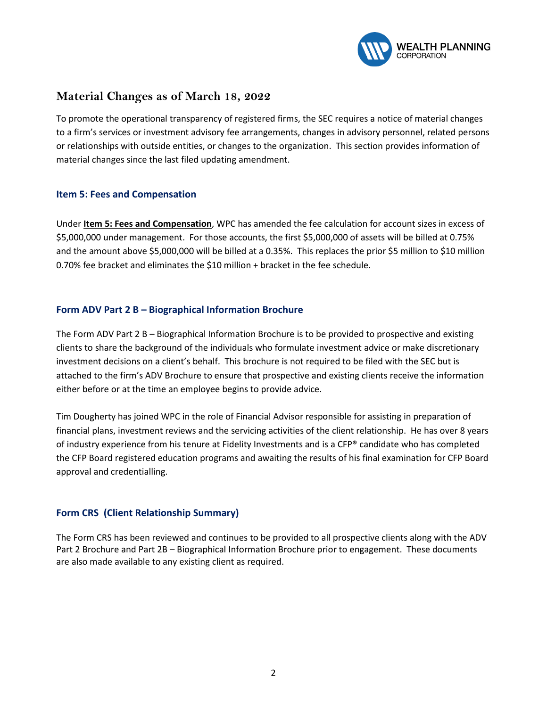

#### **Material Changes as of March 18, 2022**

To promote the operational transparency of registered firms, the SEC requires a notice of material changes to a firm's services or investment advisory fee arrangements, changes in advisory personnel, related persons or relationships with outside entities, or changes to the organization. This section provides information of material changes since the last filed updating amendment.

#### **Item 5: Fees and Compensation**

Under **Item 5: Fees and Compensation**, WPC has amended the fee calculation for account sizes in excess of \$5,000,000 under management. For those accounts, the first \$5,000,000 of assets will be billed at 0.75% and the amount above \$5,000,000 will be billed at a 0.35%. This replaces the prior \$5 million to \$10 million 0.70% fee bracket and eliminates the \$10 million + bracket in the fee schedule.

#### **Form ADV Part 2 B – Biographical Information Brochure**

The Form ADV Part 2 B – Biographical Information Brochure is to be provided to prospective and existing clients to share the background of the individuals who formulate investment advice or make discretionary investment decisions on a client's behalf. This brochure is not required to be filed with the SEC but is attached to the firm's ADV Brochure to ensure that prospective and existing clients receive the information either before or at the time an employee begins to provide advice.

Tim Dougherty has joined WPC in the role of Financial Advisor responsible for assisting in preparation of financial plans, investment reviews and the servicing activities of the client relationship. He has over 8 years of industry experience from his tenure at Fidelity Investments and is a CFP® candidate who has completed the CFP Board registered education programs and awaiting the results of his final examination for CFP Board approval and credentialling.

#### **Form CRS (Client Relationship Summary)**

The Form CRS has been reviewed and continues to be provided to all prospective clients along with the ADV Part 2 Brochure and Part 2B – Biographical Information Brochure prior to engagement. These documents are also made available to any existing client as required.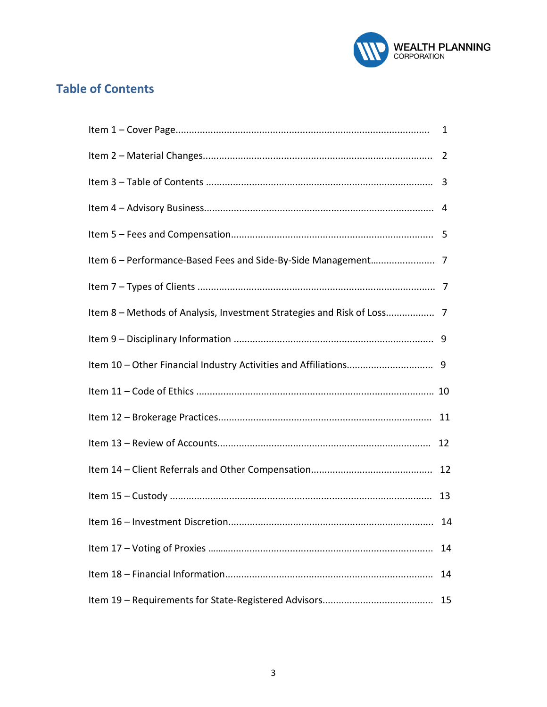

# **Table of Contents**

| Item 8 - Methods of Analysis, Investment Strategies and Risk of Loss 7 |    |
|------------------------------------------------------------------------|----|
|                                                                        |    |
|                                                                        |    |
|                                                                        |    |
|                                                                        |    |
|                                                                        | 12 |
|                                                                        |    |
|                                                                        |    |
|                                                                        | 14 |
|                                                                        | 14 |
|                                                                        | 14 |
|                                                                        | 15 |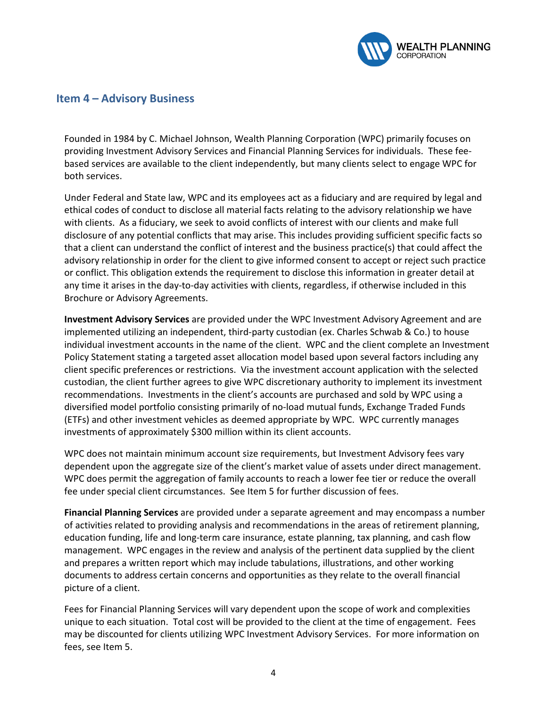

#### **Item 4 – Advisory Business**

Founded in 1984 by C. Michael Johnson, Wealth Planning Corporation (WPC) primarily focuses on providing Investment Advisory Services and Financial Planning Services for individuals. These feebased services are available to the client independently, but many clients select to engage WPC for both services.

Under Federal and State law, WPC and its employees act as a fiduciary and are required by legal and ethical codes of conduct to disclose all material facts relating to the advisory relationship we have with clients. As a fiduciary, we seek to avoid conflicts of interest with our clients and make full disclosure of any potential conflicts that may arise. This includes providing sufficient specific facts so that a client can understand the conflict of interest and the business practice(s) that could affect the advisory relationship in order for the client to give informed consent to accept or reject such practice or conflict. This obligation extends the requirement to disclose this information in greater detail at any time it arises in the day-to-day activities with clients, regardless, if otherwise included in this Brochure or Advisory Agreements.

**Investment Advisory Services** are provided under the WPC Investment Advisory Agreement and are implemented utilizing an independent, third-party custodian (ex. Charles Schwab & Co.) to house individual investment accounts in the name of the client. WPC and the client complete an Investment Policy Statement stating a targeted asset allocation model based upon several factors including any client specific preferences or restrictions. Via the investment account application with the selected custodian, the client further agrees to give WPC discretionary authority to implement its investment recommendations. Investments in the client's accounts are purchased and sold by WPC using a diversified model portfolio consisting primarily of no-load mutual funds, Exchange Traded Funds (ETFs) and other investment vehicles as deemed appropriate by WPC. WPC currently manages investments of approximately \$300 million within its client accounts.

WPC does not maintain minimum account size requirements, but Investment Advisory fees vary dependent upon the aggregate size of the client's market value of assets under direct management. WPC does permit the aggregation of family accounts to reach a lower fee tier or reduce the overall fee under special client circumstances. See Item 5 for further discussion of fees.

**Financial Planning Services** are provided under a separate agreement and may encompass a number of activities related to providing analysis and recommendations in the areas of retirement planning, education funding, life and long-term care insurance, estate planning, tax planning, and cash flow management. WPC engages in the review and analysis of the pertinent data supplied by the client and prepares a written report which may include tabulations, illustrations, and other working documents to address certain concerns and opportunities as they relate to the overall financial picture of a client.

Fees for Financial Planning Services will vary dependent upon the scope of work and complexities unique to each situation. Total cost will be provided to the client at the time of engagement. Fees may be discounted for clients utilizing WPC Investment Advisory Services. For more information on fees, see Item 5.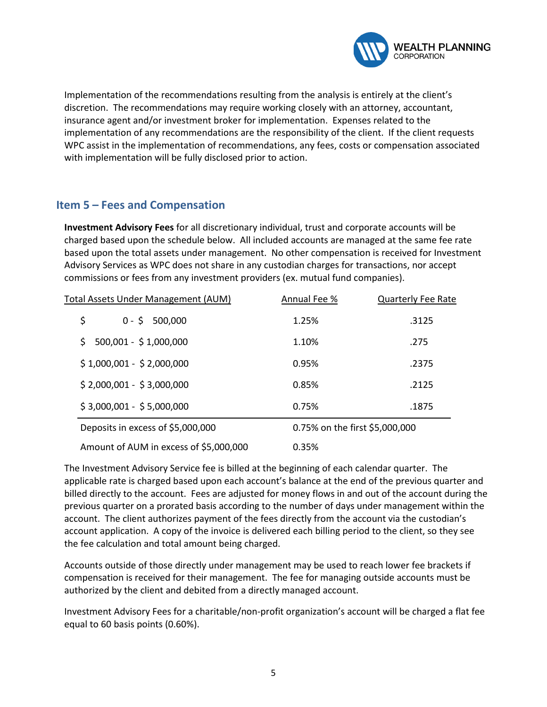

Implementation of the recommendations resulting from the analysis is entirely at the client's discretion. The recommendations may require working closely with an attorney, accountant, insurance agent and/or investment broker for implementation. Expenses related to the implementation of any recommendations are the responsibility of the client. If the client requests WPC assist in the implementation of recommendations, any fees, costs or compensation associated with implementation will be fully disclosed prior to action.

# **Item 5 – Fees and Compensation**

**Investment Advisory Fees** for all discretionary individual, trust and corporate accounts will be charged based upon the schedule below. All included accounts are managed at the same fee rate based upon the total assets under management. No other compensation is received for Investment Advisory Services as WPC does not share in any custodian charges for transactions, nor accept commissions or fees from any investment providers (ex. mutual fund companies).

| Total Assets Under Management (AUM)    | Annual Fee % | <b>Quarterly Fee Rate</b>      |  |
|----------------------------------------|--------------|--------------------------------|--|
| \$<br>$0 - 5$<br>500,000               | 1.25%        | .3125                          |  |
| 500,001 - \$1,000,000<br>Ś             | 1.10%        | .275                           |  |
| $$1,000,001 - $2,000,000$              | 0.95%        | .2375                          |  |
| $$2,000,001 - $3,000,000$              | 0.85%        | .2125                          |  |
| $$3,000,001 - $5,000,000$              | 0.75%        | .1875                          |  |
| Deposits in excess of \$5,000,000      |              | 0.75% on the first \$5,000,000 |  |
| Amount of AUM in excess of \$5,000,000 | 0.35%        |                                |  |

The Investment Advisory Service fee is billed at the beginning of each calendar quarter. The applicable rate is charged based upon each account's balance at the end of the previous quarter and billed directly to the account. Fees are adjusted for money flows in and out of the account during the previous quarter on a prorated basis according to the number of days under management within the account. The client authorizes payment of the fees directly from the account via the custodian's account application. A copy of the invoice is delivered each billing period to the client, so they see the fee calculation and total amount being charged.

Accounts outside of those directly under management may be used to reach lower fee brackets if compensation is received for their management. The fee for managing outside accounts must be authorized by the client and debited from a directly managed account.

Investment Advisory Fees for a charitable/non-profit organization's account will be charged a flat fee equal to 60 basis points (0.60%).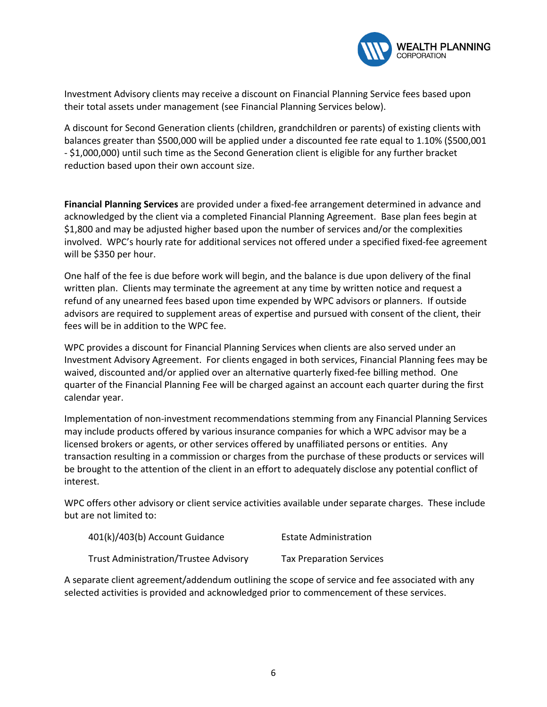

Investment Advisory clients may receive a discount on Financial Planning Service fees based upon their total assets under management (see Financial Planning Services below).

A discount for Second Generation clients (children, grandchildren or parents) of existing clients with balances greater than \$500,000 will be applied under a discounted fee rate equal to 1.10% (\$500,001 - \$1,000,000) until such time as the Second Generation client is eligible for any further bracket reduction based upon their own account size.

**Financial Planning Services** are provided under a fixed-fee arrangement determined in advance and acknowledged by the client via a completed Financial Planning Agreement. Base plan fees begin at \$1,800 and may be adjusted higher based upon the number of services and/or the complexities involved. WPC's hourly rate for additional services not offered under a specified fixed-fee agreement will be \$350 per hour.

One half of the fee is due before work will begin, and the balance is due upon delivery of the final written plan. Clients may terminate the agreement at any time by written notice and request a refund of any unearned fees based upon time expended by WPC advisors or planners. If outside advisors are required to supplement areas of expertise and pursued with consent of the client, their fees will be in addition to the WPC fee.

WPC provides a discount for Financial Planning Services when clients are also served under an Investment Advisory Agreement. For clients engaged in both services, Financial Planning fees may be waived, discounted and/or applied over an alternative quarterly fixed-fee billing method. One quarter of the Financial Planning Fee will be charged against an account each quarter during the first calendar year.

Implementation of non-investment recommendations stemming from any Financial Planning Services may include products offered by various insurance companies for which a WPC advisor may be a licensed brokers or agents, or other services offered by unaffiliated persons or entities. Any transaction resulting in a commission or charges from the purchase of these products or services will be brought to the attention of the client in an effort to adequately disclose any potential conflict of interest.

WPC offers other advisory or client service activities available under separate charges. These include but are not limited to:

| 401(k)/403(b) Account Guidance        | <b>Estate Administration</b>    |
|---------------------------------------|---------------------------------|
| Trust Administration/Trustee Advisory | <b>Tax Preparation Services</b> |

A separate client agreement/addendum outlining the scope of service and fee associated with any selected activities is provided and acknowledged prior to commencement of these services.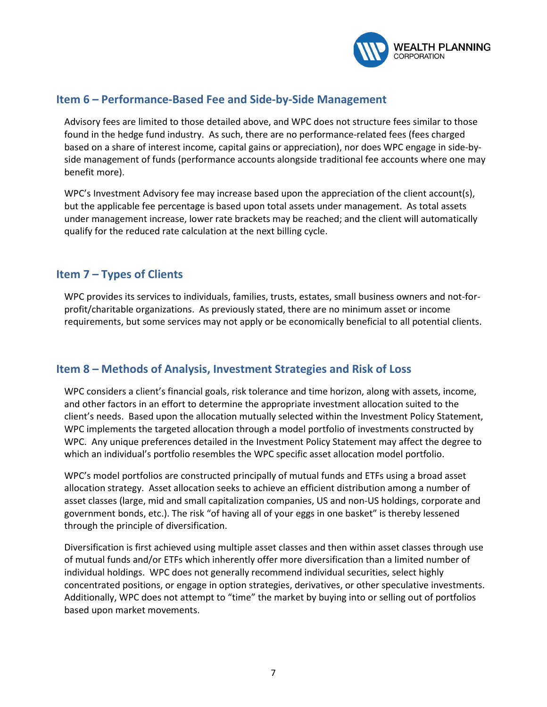

#### **Item 6 – Performance-Based Fee and Side-by-Side Management**

Advisory fees are limited to those detailed above, and WPC does not structure fees similar to those found in the hedge fund industry. As such, there are no performance-related fees (fees charged based on a share of interest income, capital gains or appreciation), nor does WPC engage in side-byside management of funds (performance accounts alongside traditional fee accounts where one may benefit more).

WPC's Investment Advisory fee may increase based upon the appreciation of the client account(s), but the applicable fee percentage is based upon total assets under management. As total assets under management increase, lower rate brackets may be reached; and the client will automatically qualify for the reduced rate calculation at the next billing cycle.

# **Item 7 – Types of Clients**

WPC provides its services to individuals, families, trusts, estates, small business owners and not-forprofit/charitable organizations. As previously stated, there are no minimum asset or income requirements, but some services may not apply or be economically beneficial to all potential clients.

#### **Item 8 – Methods of Analysis, Investment Strategies and Risk of Loss**

WPC considers a client's financial goals, risk tolerance and time horizon, along with assets, income, and other factors in an effort to determine the appropriate investment allocation suited to the client's needs. Based upon the allocation mutually selected within the Investment Policy Statement, WPC implements the targeted allocation through a model portfolio of investments constructed by WPC. Any unique preferences detailed in the Investment Policy Statement may affect the degree to which an individual's portfolio resembles the WPC specific asset allocation model portfolio.

WPC's model portfolios are constructed principally of mutual funds and ETFs using a broad asset allocation strategy. Asset allocation seeks to achieve an efficient distribution among a number of asset classes (large, mid and small capitalization companies, US and non-US holdings, corporate and government bonds, etc.). The risk "of having all of your eggs in one basket" is thereby lessened through the principle of diversification.

Diversification is first achieved using multiple asset classes and then within asset classes through use of mutual funds and/or ETFs which inherently offer more diversification than a limited number of individual holdings. WPC does not generally recommend individual securities, select highly concentrated positions, or engage in option strategies, derivatives, or other speculative investments. Additionally, WPC does not attempt to "time" the market by buying into or selling out of portfolios based upon market movements.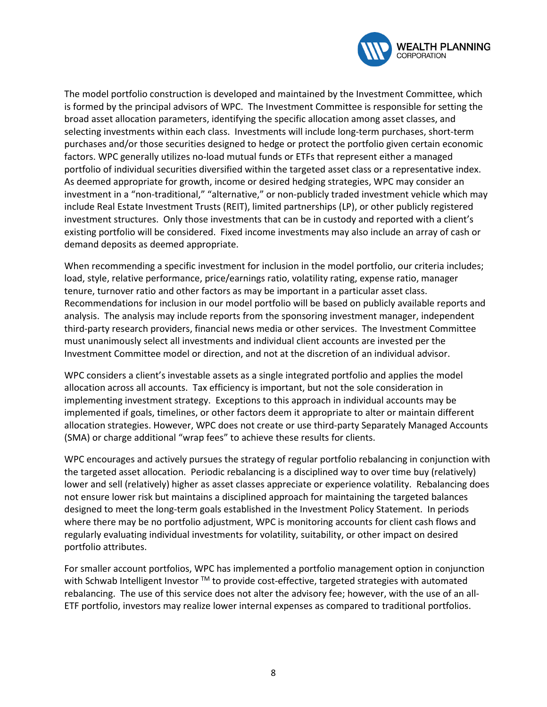

The model portfolio construction is developed and maintained by the Investment Committee, which is formed by the principal advisors of WPC. The Investment Committee is responsible for setting the broad asset allocation parameters, identifying the specific allocation among asset classes, and selecting investments within each class. Investments will include long-term purchases, short-term purchases and/or those securities designed to hedge or protect the portfolio given certain economic factors. WPC generally utilizes no-load mutual funds or ETFs that represent either a managed portfolio of individual securities diversified within the targeted asset class or a representative index. As deemed appropriate for growth, income or desired hedging strategies, WPC may consider an investment in a "non-traditional," "alternative," or non-publicly traded investment vehicle which may include Real Estate Investment Trusts (REIT), limited partnerships (LP), or other publicly registered investment structures. Only those investments that can be in custody and reported with a client's existing portfolio will be considered. Fixed income investments may also include an array of cash or demand deposits as deemed appropriate.

When recommending a specific investment for inclusion in the model portfolio, our criteria includes; load, style, relative performance, price/earnings ratio, volatility rating, expense ratio, manager tenure, turnover ratio and other factors as may be important in a particular asset class. Recommendations for inclusion in our model portfolio will be based on publicly available reports and analysis. The analysis may include reports from the sponsoring investment manager, independent third-party research providers, financial news media or other services. The Investment Committee must unanimously select all investments and individual client accounts are invested per the Investment Committee model or direction, and not at the discretion of an individual advisor.

WPC considers a client's investable assets as a single integrated portfolio and applies the model allocation across all accounts. Tax efficiency is important, but not the sole consideration in implementing investment strategy. Exceptions to this approach in individual accounts may be implemented if goals, timelines, or other factors deem it appropriate to alter or maintain different allocation strategies. However, WPC does not create or use third-party Separately Managed Accounts (SMA) or charge additional "wrap fees" to achieve these results for clients.

WPC encourages and actively pursues the strategy of regular portfolio rebalancing in conjunction with the targeted asset allocation. Periodic rebalancing is a disciplined way to over time buy (relatively) lower and sell (relatively) higher as asset classes appreciate or experience volatility. Rebalancing does not ensure lower risk but maintains a disciplined approach for maintaining the targeted balances designed to meet the long-term goals established in the Investment Policy Statement. In periods where there may be no portfolio adjustment, WPC is monitoring accounts for client cash flows and regularly evaluating individual investments for volatility, suitability, or other impact on desired portfolio attributes.

For smaller account portfolios, WPC has implemented a portfolio management option in conjunction with Schwab Intelligent Investor ™ to provide cost-effective, targeted strategies with automated rebalancing. The use of this service does not alter the advisory fee; however, with the use of an all-ETF portfolio, investors may realize lower internal expenses as compared to traditional portfolios.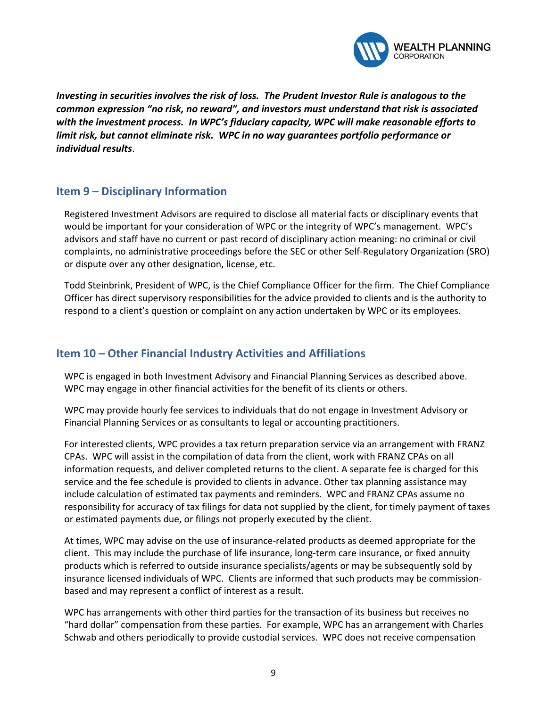

*Investing in securities involves the risk of loss. The Prudent Investor Rule is analogous to the common expression "no risk, no reward", and investors must understand that risk is associated with the investment process. In WPC's fiduciary capacity, WPC will make reasonable efforts to limit risk, but cannot eliminate risk. WPC in no way guarantees portfolio performance or individual results*.

# **Item 9 – Disciplinary Information**

Registered Investment Advisors are required to disclose all material facts or disciplinary events that would be important for your consideration of WPC or the integrity of WPC's management. WPC's advisors and staff have no current or past record of disciplinary action meaning: no criminal or civil complaints, no administrative proceedings before the SEC or other Self-Regulatory Organization (SRO) or dispute over any other designation, license, etc.

Todd Steinbrink, President of WPC, is the Chief Compliance Officer for the firm. The Chief Compliance Officer has direct supervisory responsibilities for the advice provided to clients and is the authority to respond to a client's question or complaint on any action undertaken by WPC or its employees.

#### **Item 10 – Other Financial Industry Activities and Affiliations**

WPC is engaged in both Investment Advisory and Financial Planning Services as described above. WPC may engage in other financial activities for the benefit of its clients or others.

WPC may provide hourly fee services to individuals that do not engage in Investment Advisory or Financial Planning Services or as consultants to legal or accounting practitioners.

For interested clients, WPC provides a tax return preparation service via an arrangement with FRANZ CPAs. WPC will assist in the compilation of data from the client, work with FRANZ CPAs on all information requests, and deliver completed returns to the client. A separate fee is charged for this service and the fee schedule is provided to clients in advance. Other tax planning assistance may include calculation of estimated tax payments and reminders. WPC and FRANZ CPAs assume no responsibility for accuracy of tax filings for data not supplied by the client, for timely payment of taxes or estimated payments due, or filings not properly executed by the client.

At times, WPC may advise on the use of insurance-related products as deemed appropriate for the client. This may include the purchase of life insurance, long-term care insurance, or fixed annuity products which is referred to outside insurance specialists/agents or may be subsequently sold by insurance licensed individuals of WPC. Clients are informed that such products may be commissionbased and may represent a conflict of interest as a result.

WPC has arrangements with other third parties for the transaction of its business but receives no "hard dollar" compensation from these parties. For example, WPC has an arrangement with Charles Schwab and others periodically to provide custodial services. WPC does not receive compensation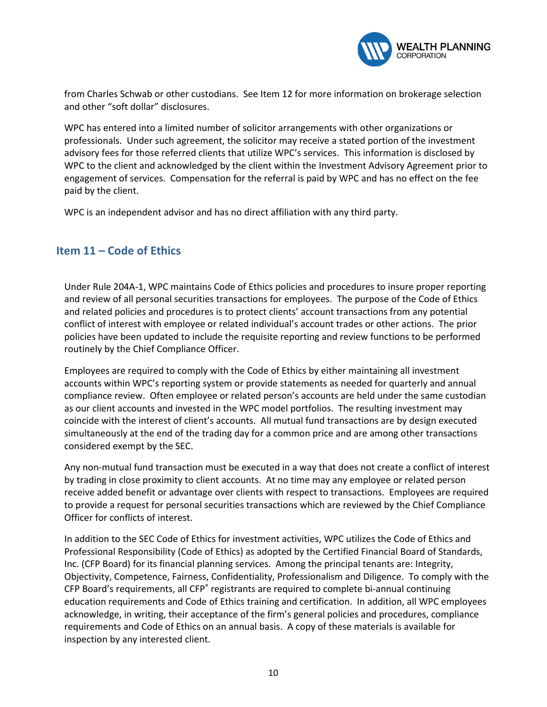

from Charles Schwab or other custodians. See Item 12 for more information on brokerage selection and other "soft dollar" disclosures.

WPC has entered into a limited number of solicitor arrangements with other organizations or professionals. Under such agreement, the solicitor may receive a stated portion of the investment advisory fees for those referred clients that utilize WPC's services. This information is disclosed by WPC to the client and acknowledged by the client within the Investment Advisory Agreement prior to engagement of services. Compensation for the referral is paid by WPC and has no effect on the fee paid by the client.

WPC is an independent advisor and has no direct affiliation with any third party.

# **Item 11 – Code of Ethics**

Under Rule 204A-1, WPC maintains Code of Ethics policies and procedures to insure proper reporting and review of all personal securities transactions for employees. The purpose of the Code of Ethics and related policies and procedures is to protect clients' account transactions from any potential conflict of interest with employee or related individual's account trades or other actions. The prior policies have been updated to include the requisite reporting and review functions to be performed routinely by the Chief Compliance Officer.

Employees are required to comply with the Code of Ethics by either maintaining all investment accounts within WPC's reporting system or provide statements as needed for quarterly and annual compliance review. Often employee or related person's accounts are held under the same custodian as our client accounts and invested in the WPC model portfolios. The resulting investment may coincide with the interest of client's accounts. All mutual fund transactions are by design executed simultaneously at the end of the trading day for a common price and are among other transactions considered exempt by the SEC.

Any non-mutual fund transaction must be executed in a way that does not create a conflict of interest by trading in close proximity to client accounts. At no time may any employee or related person receive added benefit or advantage over clients with respect to transactions. Employees are required to provide a request for personal securities transactions which are reviewed by the Chief Compliance Officer for conflicts of interest.

In addition to the SEC Code of Ethics for investment activities, WPC utilizes the Code of Ethics and Professional Responsibility (Code of Ethics) as adopted by the Certified Financial Board of Standards, Inc. (CFP Board) for its financial planning services. Among the principal tenants are: Integrity, Objectivity, Competence, Fairness, Confidentiality, Professionalism and Diligence. To comply with the CFP Board's requirements, all CFP® registrants are required to complete bi-annual continuing education requirements and Code of Ethics training and certification. In addition, all WPC employees acknowledge, in writing, their acceptance of the firm's general policies and procedures, compliance requirements and Code of Ethics on an annual basis. A copy of these materials is available for inspection by any interested client.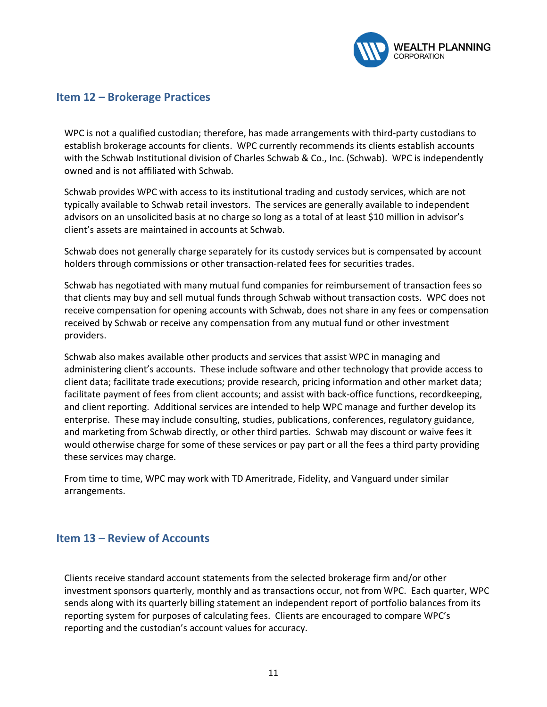

#### **Item 12 – Brokerage Practices**

WPC is not a qualified custodian; therefore, has made arrangements with third-party custodians to establish brokerage accounts for clients. WPC currently recommends its clients establish accounts with the Schwab Institutional division of Charles Schwab & Co., Inc. (Schwab). WPC is independently owned and is not affiliated with Schwab.

Schwab provides WPC with access to its institutional trading and custody services, which are not typically available to Schwab retail investors. The services are generally available to independent advisors on an unsolicited basis at no charge so long as a total of at least \$10 million in advisor's client's assets are maintained in accounts at Schwab.

Schwab does not generally charge separately for its custody services but is compensated by account holders through commissions or other transaction-related fees for securities trades.

Schwab has negotiated with many mutual fund companies for reimbursement of transaction fees so that clients may buy and sell mutual funds through Schwab without transaction costs. WPC does not receive compensation for opening accounts with Schwab, does not share in any fees or compensation received by Schwab or receive any compensation from any mutual fund or other investment providers.

Schwab also makes available other products and services that assist WPC in managing and administering client's accounts. These include software and other technology that provide access to client data; facilitate trade executions; provide research, pricing information and other market data; facilitate payment of fees from client accounts; and assist with back-office functions, recordkeeping, and client reporting. Additional services are intended to help WPC manage and further develop its enterprise. These may include consulting, studies, publications, conferences, regulatory guidance, and marketing from Schwab directly, or other third parties. Schwab may discount or waive fees it would otherwise charge for some of these services or pay part or all the fees a third party providing these services may charge.

From time to time, WPC may work with TD Ameritrade, Fidelity, and Vanguard under similar arrangements.

#### **Item 13 – Review of Accounts**

Clients receive standard account statements from the selected brokerage firm and/or other investment sponsors quarterly, monthly and as transactions occur, not from WPC. Each quarter, WPC sends along with its quarterly billing statement an independent report of portfolio balances from its reporting system for purposes of calculating fees. Clients are encouraged to compare WPC's reporting and the custodian's account values for accuracy.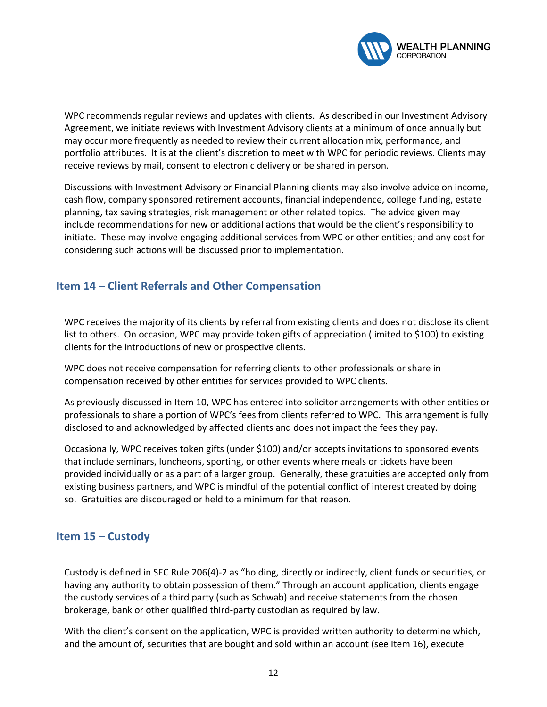

WPC recommends regular reviews and updates with clients. As described in our Investment Advisory Agreement, we initiate reviews with Investment Advisory clients at a minimum of once annually but may occur more frequently as needed to review their current allocation mix, performance, and portfolio attributes. It is at the client's discretion to meet with WPC for periodic reviews. Clients may receive reviews by mail, consent to electronic delivery or be shared in person.

Discussions with Investment Advisory or Financial Planning clients may also involve advice on income, cash flow, company sponsored retirement accounts, financial independence, college funding, estate planning, tax saving strategies, risk management or other related topics. The advice given may include recommendations for new or additional actions that would be the client's responsibility to initiate. These may involve engaging additional services from WPC or other entities; and any cost for considering such actions will be discussed prior to implementation.

# **Item 14 – Client Referrals and Other Compensation**

WPC receives the majority of its clients by referral from existing clients and does not disclose its client list to others. On occasion, WPC may provide token gifts of appreciation (limited to \$100) to existing clients for the introductions of new or prospective clients.

WPC does not receive compensation for referring clients to other professionals or share in compensation received by other entities for services provided to WPC clients.

As previously discussed in Item 10, WPC has entered into solicitor arrangements with other entities or professionals to share a portion of WPC's fees from clients referred to WPC. This arrangement is fully disclosed to and acknowledged by affected clients and does not impact the fees they pay.

Occasionally, WPC receives token gifts (under \$100) and/or accepts invitations to sponsored events that include seminars, luncheons, sporting, or other events where meals or tickets have been provided individually or as a part of a larger group. Generally, these gratuities are accepted only from existing business partners, and WPC is mindful of the potential conflict of interest created by doing so. Gratuities are discouraged or held to a minimum for that reason.

#### **Item 15 – Custody**

Custody is defined in SEC Rule 206(4)-2 as "holding, directly or indirectly, client funds or securities, or having any authority to obtain possession of them." Through an account application, clients engage the custody services of a third party (such as Schwab) and receive statements from the chosen brokerage, bank or other qualified third-party custodian as required by law.

With the client's consent on the application, WPC is provided written authority to determine which, and the amount of, securities that are bought and sold within an account (see Item 16), execute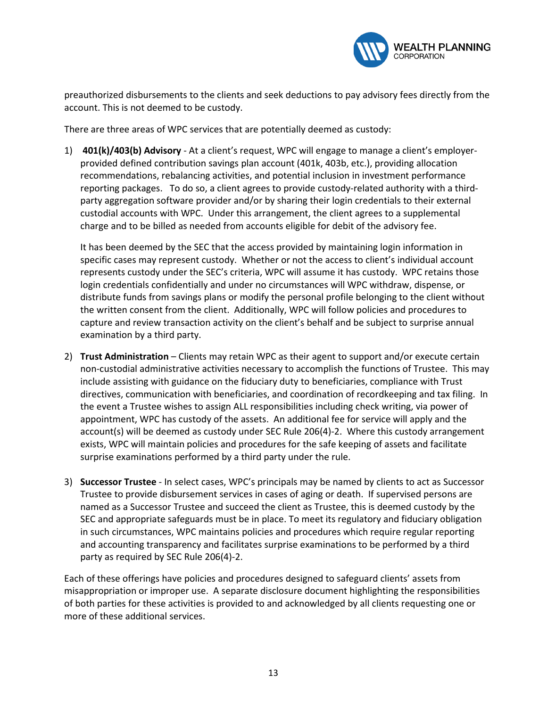

preauthorized disbursements to the clients and seek deductions to pay advisory fees directly from the account. This is not deemed to be custody.

There are three areas of WPC services that are potentially deemed as custody:

1) **401(k)/403(b) Advisory** - At a client's request, WPC will engage to manage a client's employerprovided defined contribution savings plan account (401k, 403b, etc.), providing allocation recommendations, rebalancing activities, and potential inclusion in investment performance reporting packages. To do so, a client agrees to provide custody-related authority with a thirdparty aggregation software provider and/or by sharing their login credentials to their external custodial accounts with WPC. Under this arrangement, the client agrees to a supplemental charge and to be billed as needed from accounts eligible for debit of the advisory fee.

It has been deemed by the SEC that the access provided by maintaining login information in specific cases may represent custody. Whether or not the access to client's individual account represents custody under the SEC's criteria, WPC will assume it has custody. WPC retains those login credentials confidentially and under no circumstances will WPC withdraw, dispense, or distribute funds from savings plans or modify the personal profile belonging to the client without the written consent from the client. Additionally, WPC will follow policies and procedures to capture and review transaction activity on the client's behalf and be subject to surprise annual examination by a third party.

- 2) **Trust Administration** Clients may retain WPC as their agent to support and/or execute certain non-custodial administrative activities necessary to accomplish the functions of Trustee. This may include assisting with guidance on the fiduciary duty to beneficiaries, compliance with Trust directives, communication with beneficiaries, and coordination of recordkeeping and tax filing. In the event a Trustee wishes to assign ALL responsibilities including check writing, via power of appointment, WPC has custody of the assets. An additional fee for service will apply and the account(s) will be deemed as custody under SEC Rule 206(4)-2. Where this custody arrangement exists, WPC will maintain policies and procedures for the safe keeping of assets and facilitate surprise examinations performed by a third party under the rule.
- 3) **Successor Trustee** In select cases, WPC's principals may be named by clients to act as Successor Trustee to provide disbursement services in cases of aging or death. If supervised persons are named as a Successor Trustee and succeed the client as Trustee, this is deemed custody by the SEC and appropriate safeguards must be in place. To meet its regulatory and fiduciary obligation in such circumstances, WPC maintains policies and procedures which require regular reporting and accounting transparency and facilitates surprise examinations to be performed by a third party as required by SEC Rule 206(4)-2.

Each of these offerings have policies and procedures designed to safeguard clients' assets from misappropriation or improper use. A separate disclosure document highlighting the responsibilities of both parties for these activities is provided to and acknowledged by all clients requesting one or more of these additional services.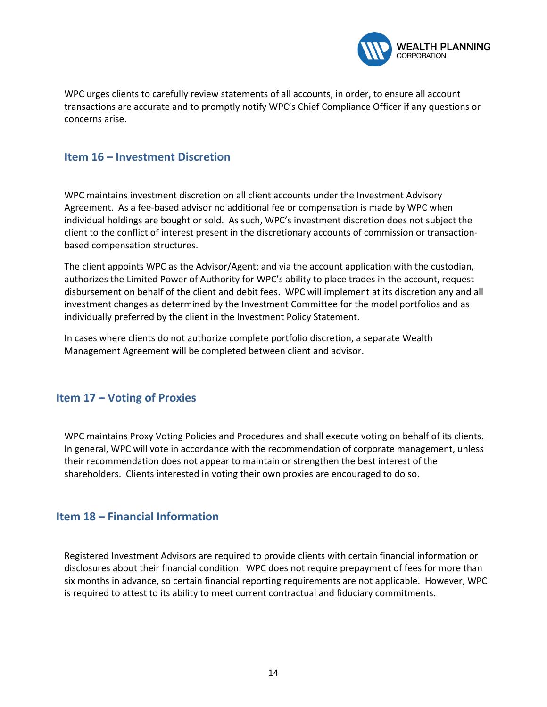

WPC urges clients to carefully review statements of all accounts, in order, to ensure all account transactions are accurate and to promptly notify WPC's Chief Compliance Officer if any questions or concerns arise.

#### **Item 16 – Investment Discretion**

WPC maintains investment discretion on all client accounts under the Investment Advisory Agreement. As a fee-based advisor no additional fee or compensation is made by WPC when individual holdings are bought or sold. As such, WPC's investment discretion does not subject the client to the conflict of interest present in the discretionary accounts of commission or transactionbased compensation structures.

The client appoints WPC as the Advisor/Agent; and via the account application with the custodian, authorizes the Limited Power of Authority for WPC's ability to place trades in the account, request disbursement on behalf of the client and debit fees. WPC will implement at its discretion any and all investment changes as determined by the Investment Committee for the model portfolios and as individually preferred by the client in the Investment Policy Statement.

In cases where clients do not authorize complete portfolio discretion, a separate Wealth Management Agreement will be completed between client and advisor.

#### **Item 17 – Voting of Proxies**

WPC maintains Proxy Voting Policies and Procedures and shall execute voting on behalf of its clients. In general, WPC will vote in accordance with the recommendation of corporate management, unless their recommendation does not appear to maintain or strengthen the best interest of the shareholders. Clients interested in voting their own proxies are encouraged to do so.

#### **Item 18 – Financial Information**

Registered Investment Advisors are required to provide clients with certain financial information or disclosures about their financial condition. WPC does not require prepayment of fees for more than six months in advance, so certain financial reporting requirements are not applicable. However, WPC is required to attest to its ability to meet current contractual and fiduciary commitments.